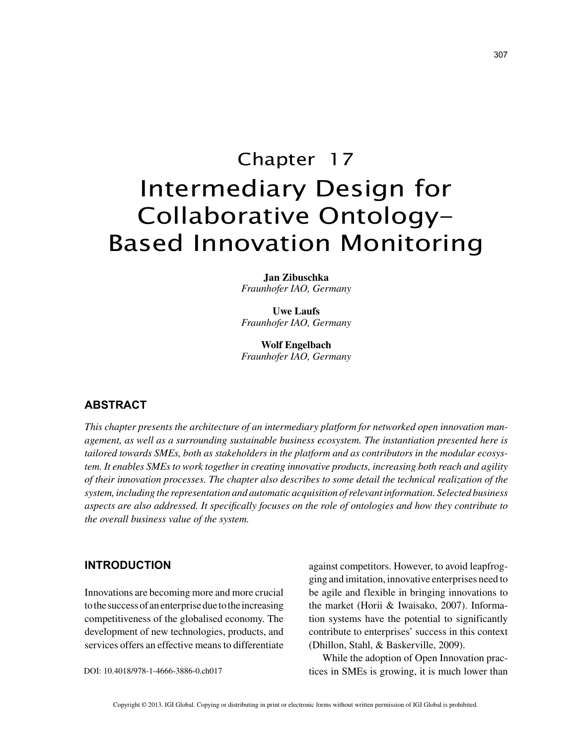# Chapter 17 Intermediary Design for Collaborative Ontology-Based Innovation Monitoring

**Jan Zibuschka** *Fraunhofer IAO, Germany*

**Uwe Laufs** *Fraunhofer IAO, Germany*

**Wolf Engelbach** *Fraunhofer IAO, Germany*

## **ABSTRACT**

*This chapter presents the architecture of an intermediary platform for networked open innovation management, as well as a surrounding sustainable business ecosystem. The instantiation presented here is tailored towards SMEs, both as stakeholders in the platform and as contributors in the modular ecosystem. It enables SMEs to work together in creating innovative products, increasing both reach and agility of their innovation processes. The chapter also describes to some detail the technical realization of the system, including the representation and automatic acquisition of relevant information. Selected business aspects are also addressed. It specifically focuses on the role of ontologies and how they contribute to the overall business value of the system.*

### **INTRODUCTION**

Innovations are becoming more and more crucial to the success of an enterprise due to the increasing competitiveness of the globalised economy. The development of new technologies, products, and services offers an effective means to differentiate

DOI: 10.4018/978-1-4666-3886-0.ch017

against competitors. However, to avoid leapfrogging and imitation, innovative enterprises need to be agile and flexible in bringing innovations to the market (Horii & Iwaisako, 2007). Information systems have the potential to significantly contribute to enterprises' success in this context (Dhillon, Stahl, & Baskerville, 2009).

While the adoption of Open Innovation practices in SMEs is growing, it is much lower than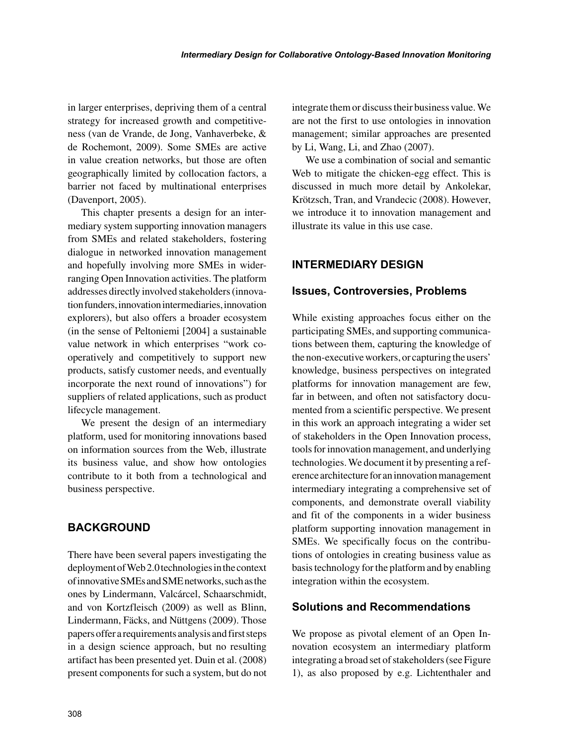in larger enterprises, depriving them of a central strategy for increased growth and competitiveness (van de Vrande, de Jong, Vanhaverbeke, & de Rochemont, 2009). Some SMEs are active in value creation networks, but those are often geographically limited by collocation factors, a barrier not faced by multinational enterprises (Davenport, 2005).

This chapter presents a design for an intermediary system supporting innovation managers from SMEs and related stakeholders, fostering dialogue in networked innovation management and hopefully involving more SMEs in widerranging Open Innovation activities. The platform addresses directly involved stakeholders (innovation funders, innovation intermediaries, innovation explorers), but also offers a broader ecosystem (in the sense of Peltoniemi [2004] a sustainable value network in which enterprises "work cooperatively and competitively to support new products, satisfy customer needs, and eventually incorporate the next round of innovations") for suppliers of related applications, such as product lifecycle management.

We present the design of an intermediary platform, used for monitoring innovations based on information sources from the Web, illustrate its business value, and show how ontologies contribute to it both from a technological and business perspective.

# **BACKGROUND**

There have been several papers investigating the deployment of Web 2.0 technologies in the context of innovative SMEs and SME networks, such as the ones by Lindermann, Valcárcel, Schaarschmidt, and von Kortzfleisch (2009) as well as Blinn, Lindermann, Fäcks, and Nüttgens (2009). Those papers offer a requirements analysis and first steps in a design science approach, but no resulting artifact has been presented yet. Duin et al. (2008) present components for such a system, but do not integrate them or discuss their business value. We are not the first to use ontologies in innovation management; similar approaches are presented by Li, Wang, Li, and Zhao (2007).

We use a combination of social and semantic Web to mitigate the chicken-egg effect. This is discussed in much more detail by Ankolekar, Krötzsch, Tran, and Vrandecic (2008). However, we introduce it to innovation management and illustrate its value in this use case.

# **INTERMEDIARY DESIGN**

## **Issues, Controversies, Problems**

While existing approaches focus either on the participating SMEs, and supporting communications between them, capturing the knowledge of the non-executive workers, or capturing the users' knowledge, business perspectives on integrated platforms for innovation management are few, far in between, and often not satisfactory documented from a scientific perspective. We present in this work an approach integrating a wider set of stakeholders in the Open Innovation process, tools for innovation management, and underlying technologies. We document it by presenting a reference architecture for an innovation management intermediary integrating a comprehensive set of components, and demonstrate overall viability and fit of the components in a wider business platform supporting innovation management in SMEs. We specifically focus on the contributions of ontologies in creating business value as basis technology for the platform and by enabling integration within the ecosystem.

# **Solutions and Recommendations**

We propose as pivotal element of an Open Innovation ecosystem an intermediary platform integrating a broad set of stakeholders (see Figure 1), as also proposed by e.g. Lichtenthaler and